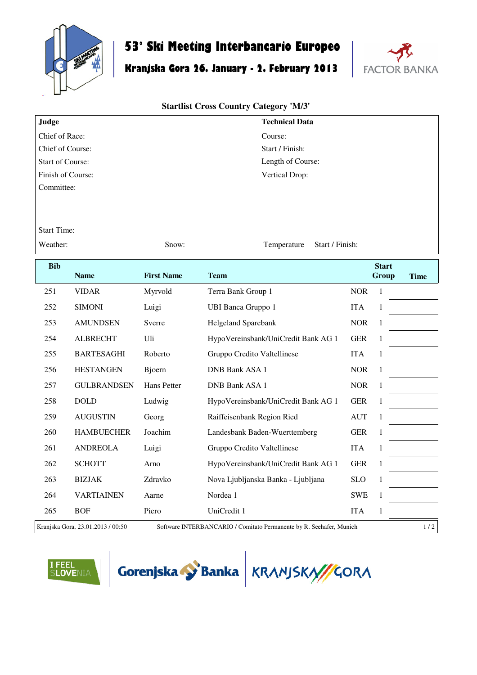

## **53° Ski Meeting Interbancario Europeo**

## **Kranjska Gora 26. January - 2. February 2013**



## **Startlist Cross Country Category 'M/3'**

| Judge                   | <b>Technical Data</b> |
|-------------------------|-----------------------|
| Chief of Race:          | Course:               |
| Chief of Course:        | Start / Finish:       |
| <b>Start of Course:</b> | Length of Course:     |
| Finish of Course:       | Vertical Drop:        |
| Committee:              |                       |

Start Time:

Weather: Show: Show: Temperature Start / Finish:

| <b>Bib</b> | <b>Name</b>                       | <b>First Name</b> | <b>Team</b>                                                         |            | <b>Start</b><br>Group | <b>Time</b> |
|------------|-----------------------------------|-------------------|---------------------------------------------------------------------|------------|-----------------------|-------------|
| 251        | <b>VIDAR</b>                      | Myrvold           | Terra Bank Group 1                                                  | <b>NOR</b> | 1                     |             |
| 252        | <b>SIMONI</b>                     | Luigi             | <b>UBI Banca Gruppo 1</b>                                           | <b>ITA</b> | 1                     |             |
| 253        | <b>AMUNDSEN</b>                   | Sverre            | Helgeland Sparebank                                                 | <b>NOR</b> | 1                     |             |
| 254        | <b>ALBRECHT</b>                   | Uli               | HypoVereinsbank/UniCredit Bank AG 1                                 | <b>GER</b> | 1                     |             |
| 255        | <b>BARTESAGHI</b>                 | Roberto           | Gruppo Credito Valtellinese                                         | <b>ITA</b> | 1                     |             |
| 256        | <b>HESTANGEN</b>                  | <b>Bjoern</b>     | DNB Bank ASA 1                                                      | <b>NOR</b> | 1                     |             |
| 257        | <b>GULBRANDSEN</b>                | Hans Petter       | DNB Bank ASA 1                                                      | <b>NOR</b> | 1                     |             |
| 258        | <b>DOLD</b>                       | Ludwig            | HypoVereinsbank/UniCredit Bank AG 1                                 | <b>GER</b> | 1                     |             |
| 259        | <b>AUGUSTIN</b>                   | Georg             | Raiffeisenbank Region Ried                                          | <b>AUT</b> | 1                     |             |
| 260        | <b>HAMBUECHER</b>                 | Joachim           | Landesbank Baden-Wuerttemberg                                       | <b>GER</b> | 1                     |             |
| 261        | <b>ANDREOLA</b>                   | Luigi             | Gruppo Credito Valtellinese                                         | <b>ITA</b> | 1                     |             |
| 262        | <b>SCHOTT</b>                     | Arno              | HypoVereinsbank/UniCredit Bank AG 1                                 | <b>GER</b> | 1                     |             |
| 263        | <b>BIZJAK</b>                     | Zdravko           | Nova Ljubljanska Banka - Ljubljana                                  | <b>SLO</b> | $\mathbf{1}$          |             |
| 264        | <b>VARTIAINEN</b>                 | Aarne             | Nordea 1                                                            | <b>SWE</b> | 1                     |             |
| 265        | <b>BOF</b>                        | Piero             | UniCredit 1                                                         | <b>ITA</b> | 1                     |             |
|            | Kranjska Gora, 23.01.2013 / 00:50 |                   | Software INTERBANCARIO / Comitato Permanente by R. Seehafer, Munich |            |                       | 1/2         |